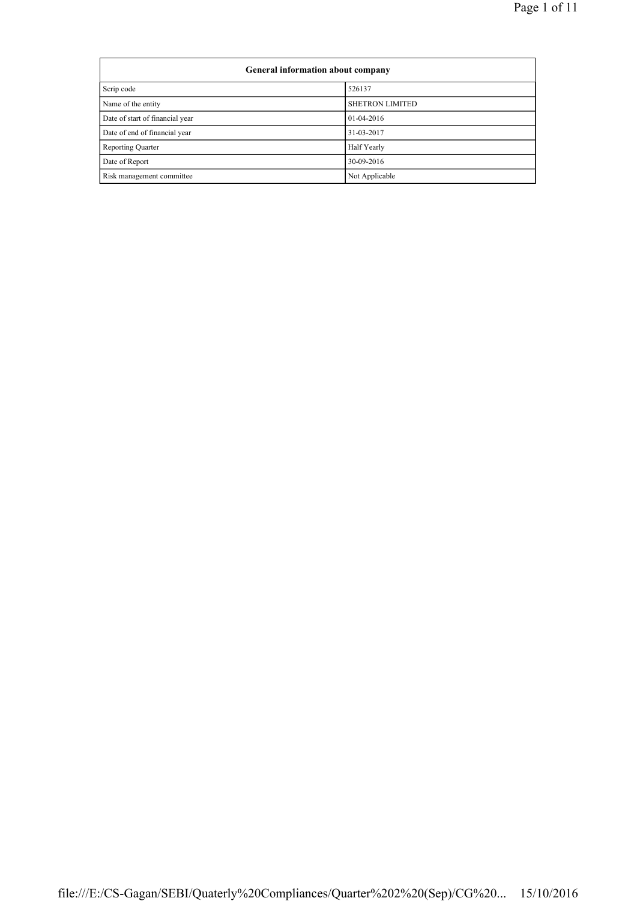| General information about company |                        |  |  |  |  |
|-----------------------------------|------------------------|--|--|--|--|
| Scrip code                        | 526137                 |  |  |  |  |
| Name of the entity                | <b>SHETRON LIMITED</b> |  |  |  |  |
| Date of start of financial year   | $01-04-2016$           |  |  |  |  |
| Date of end of financial year     | 31-03-2017             |  |  |  |  |
| Reporting Quarter                 | Half Yearly            |  |  |  |  |
| Date of Report                    | 30-09-2016             |  |  |  |  |
| Risk management committee         | Not Applicable         |  |  |  |  |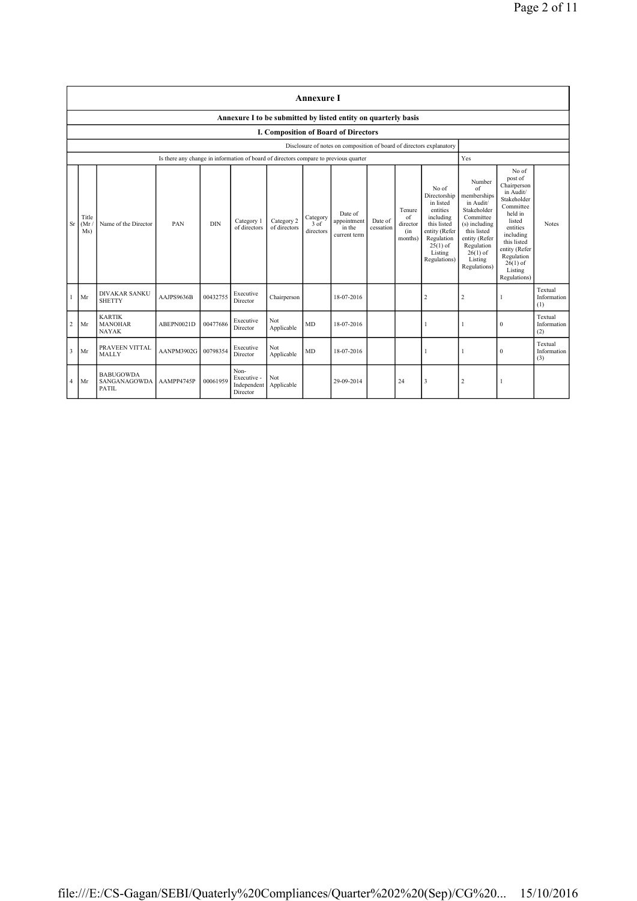|                         | <b>Annexure I</b>                                                    |                                                 |                                                                                      |            |                                                |                            |                               |                                                  |                      |                                            |                                                                                                                                                    |                                                                                                                                                                                      |                                                                                                                                                                                                               |                               |
|-------------------------|----------------------------------------------------------------------|-------------------------------------------------|--------------------------------------------------------------------------------------|------------|------------------------------------------------|----------------------------|-------------------------------|--------------------------------------------------|----------------------|--------------------------------------------|----------------------------------------------------------------------------------------------------------------------------------------------------|--------------------------------------------------------------------------------------------------------------------------------------------------------------------------------------|---------------------------------------------------------------------------------------------------------------------------------------------------------------------------------------------------------------|-------------------------------|
|                         | Annexure I to be submitted by listed entity on quarterly basis       |                                                 |                                                                                      |            |                                                |                            |                               |                                                  |                      |                                            |                                                                                                                                                    |                                                                                                                                                                                      |                                                                                                                                                                                                               |                               |
|                         |                                                                      |                                                 |                                                                                      |            |                                                |                            |                               | I. Composition of Board of Directors             |                      |                                            |                                                                                                                                                    |                                                                                                                                                                                      |                                                                                                                                                                                                               |                               |
|                         | Disclosure of notes on composition of board of directors explanatory |                                                 |                                                                                      |            |                                                |                            |                               |                                                  |                      |                                            |                                                                                                                                                    |                                                                                                                                                                                      |                                                                                                                                                                                                               |                               |
|                         |                                                                      |                                                 | Is there any change in information of board of directors compare to previous quarter |            |                                                |                            |                               |                                                  |                      |                                            |                                                                                                                                                    | Yes                                                                                                                                                                                  |                                                                                                                                                                                                               |                               |
| <b>Sr</b>               | Title<br>(Mr.<br>Ms)                                                 | Name of the Director                            | PAN                                                                                  | <b>DIN</b> | Category 1<br>of directors                     | Category 2<br>of directors | Category<br>3 of<br>directors | Date of<br>appointment<br>in the<br>current term | Date of<br>cessation | Tenure<br>of<br>director<br>(in<br>months) | No of<br>Directorship<br>in listed<br>entities<br>including<br>this listed<br>entity (Refer<br>Regulation<br>$25(1)$ of<br>Listing<br>Regulations) | Number<br>$\sigma$ f<br>memberships<br>in Audit/<br>Stakeholder<br>Committee<br>(s) including<br>this listed<br>entity (Refer<br>Regulation<br>$26(1)$ of<br>Listing<br>Regulations) | No of<br>post of<br>Chairperson<br>in Audit/<br>Stakeholder<br>Committee<br>held in<br>listed<br>entities<br>including<br>this listed<br>entity (Refer<br>Regulation<br>$26(1)$ of<br>Listing<br>Regulations) | <b>Notes</b>                  |
| 1                       | Mr                                                                   | <b>DIVAKAR SANKU</b><br><b>SHETTY</b>           | AAJPS9636B                                                                           | 00432755   | Executive<br>Director                          | Chairperson                |                               | 18-07-2016                                       |                      |                                            | 2                                                                                                                                                  | 2                                                                                                                                                                                    |                                                                                                                                                                                                               | Textual<br>Information<br>(1) |
| $\overline{c}$          | Mr                                                                   | <b>KARTIK</b><br><b>MANOHAR</b><br><b>NAYAK</b> | ABEPN0021D                                                                           | 00477686   | Executive<br>Director                          | Not<br>Applicable          | <b>MD</b>                     | 18-07-2016                                       |                      |                                            |                                                                                                                                                    |                                                                                                                                                                                      | $\mathbf{0}$                                                                                                                                                                                                  | Textual<br>Information<br>(2) |
| $\overline{\mathbf{3}}$ | Mr                                                                   | PRAVEEN VITTAL<br>MALLY                         | AANPM3902G                                                                           | 00798354   | Executive<br>Director                          | Not<br>Applicable          | MD                            | 18-07-2016                                       |                      |                                            |                                                                                                                                                    |                                                                                                                                                                                      | $\mathbf{0}$                                                                                                                                                                                                  | Textual<br>Information<br>(3) |
| 4                       | Mr                                                                   | <b>BABUGOWDA</b><br>SANGANAGOWDA<br>PATIL       | AAMPP4745P                                                                           | 00061959   | Non-<br>Executive -<br>Independent<br>Director | Not<br>Applicable          |                               | 29-09-2014                                       |                      | 24                                         | 3                                                                                                                                                  | 2                                                                                                                                                                                    |                                                                                                                                                                                                               |                               |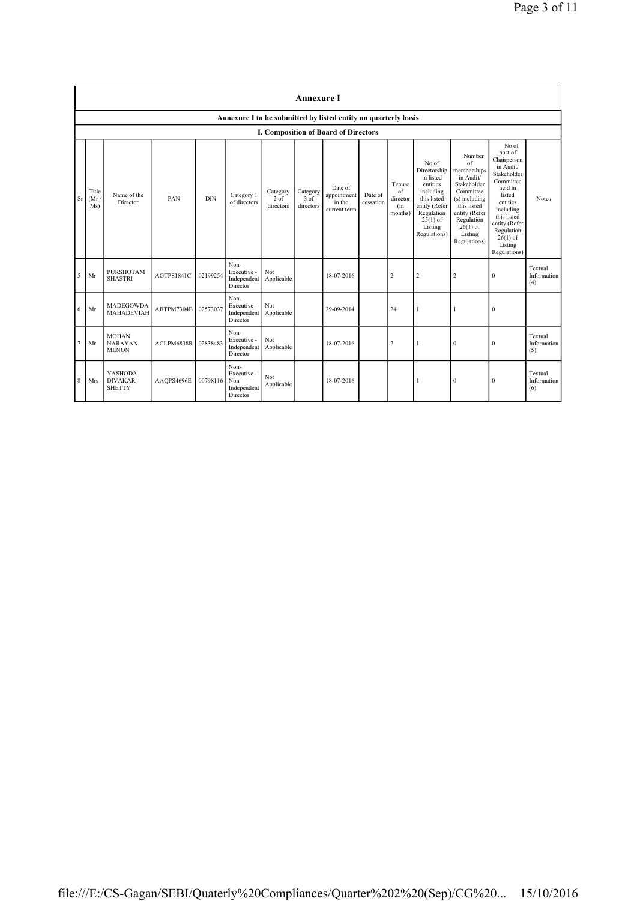|           | <b>Annexure I</b>                                              |                                                   |            |            |                                                       |                                           |                               |                                                  |                      |                                            |                                                                                                                                                    |                                                                                                                                                                              |                                                                                                                                                                                                               |                               |
|-----------|----------------------------------------------------------------|---------------------------------------------------|------------|------------|-------------------------------------------------------|-------------------------------------------|-------------------------------|--------------------------------------------------|----------------------|--------------------------------------------|----------------------------------------------------------------------------------------------------------------------------------------------------|------------------------------------------------------------------------------------------------------------------------------------------------------------------------------|---------------------------------------------------------------------------------------------------------------------------------------------------------------------------------------------------------------|-------------------------------|
|           | Annexure I to be submitted by listed entity on quarterly basis |                                                   |            |            |                                                       |                                           |                               |                                                  |                      |                                            |                                                                                                                                                    |                                                                                                                                                                              |                                                                                                                                                                                                               |                               |
|           |                                                                |                                                   |            |            |                                                       |                                           |                               | I. Composition of Board of Directors             |                      |                                            |                                                                                                                                                    |                                                                                                                                                                              |                                                                                                                                                                                                               |                               |
| <b>Sr</b> | Title<br>(Mr)<br>Ms)                                           | Name of the<br>Director                           | PAN        | <b>DIN</b> | Category 1<br>of directors                            | Category<br>2 <sub>o</sub> f<br>directors | Category<br>3 of<br>directors | Date of<br>appointment<br>in the<br>current term | Date of<br>cessation | Tenure<br>of<br>director<br>(in<br>months) | No of<br>Directorship<br>in listed<br>entities<br>including<br>this listed<br>entity (Refer<br>Regulation<br>$25(1)$ of<br>Listing<br>Regulations) | Number<br>of<br>memberships<br>in Audit/<br>Stakeholder<br>Committee<br>(s) including<br>this listed<br>entity (Refer<br>Regulation<br>$26(1)$ of<br>Listing<br>Regulations) | No of<br>post of<br>Chairperson<br>in Audit/<br>Stakeholder<br>Committee<br>held in<br>listed<br>entities<br>including<br>this listed<br>entity (Refer<br>Regulation<br>$26(1)$ of<br>Listing<br>Regulations) | <b>Notes</b>                  |
| 5         | Mr                                                             | <b>PURSHOTAM</b><br><b>SHASTRI</b>                | AGTPS1841C | 02199254   | Non-<br>Executive -<br>Independent<br>Director        | Not<br>Applicable                         |                               | 18-07-2016                                       |                      | $\overline{2}$                             | $\overline{2}$                                                                                                                                     | $\overline{2}$                                                                                                                                                               | $\mathbf{0}$                                                                                                                                                                                                  | Textual<br>Information<br>(4) |
| 6         | Mr                                                             | <b>MADEGOWDA</b><br><b>MAHADEVIAH</b>             | ABTPM7304B | 02573037   | Non-<br>Executive -<br>Independent<br>Director        | Not<br>Applicable                         |                               | 29-09-2014                                       |                      | 24                                         |                                                                                                                                                    | 1                                                                                                                                                                            | $\mathbf{0}$                                                                                                                                                                                                  |                               |
| 7         | Mr                                                             | <b>MOHAN</b><br><b>NARAYAN</b><br><b>MENON</b>    | ACLPM6838R | 02838483   | Non-<br>Executive -<br>Independent<br>Director        | Not<br>Applicable                         |                               | 18-07-2016                                       |                      | $\overline{2}$                             | 1                                                                                                                                                  | $\mathbf{0}$                                                                                                                                                                 | $\mathbf{0}$                                                                                                                                                                                                  | Textual<br>Information<br>(5) |
| 8         | Mrs                                                            | <b>YASHODA</b><br><b>DIVAKAR</b><br><b>SHETTY</b> | AAQPS4696E | 00798116   | Non-<br>Executive -<br>Non<br>Independent<br>Director | Not<br>Applicable                         |                               | 18-07-2016                                       |                      |                                            |                                                                                                                                                    | $\mathbf{0}$                                                                                                                                                                 | $\theta$                                                                                                                                                                                                      | Textual<br>Information<br>(6) |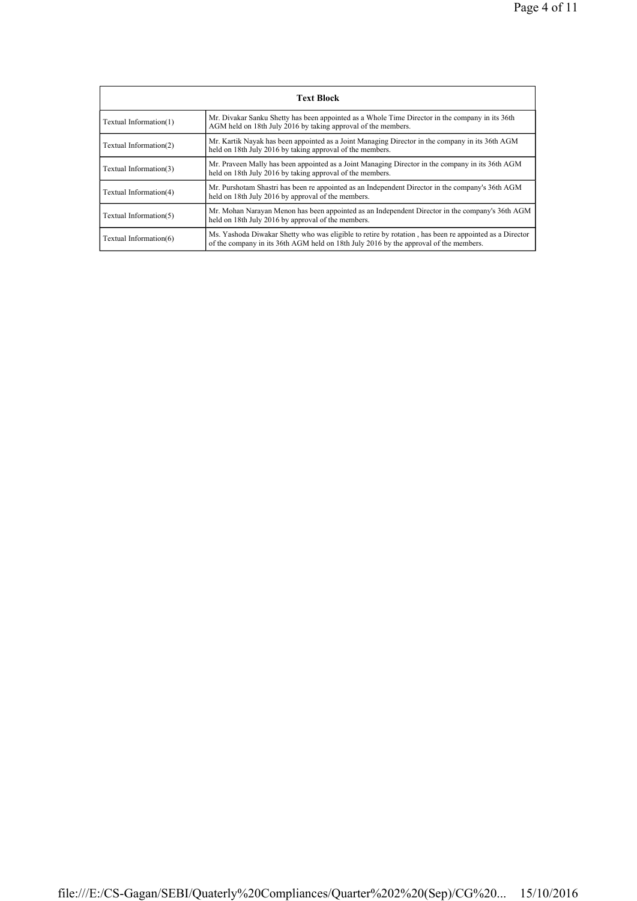| <b>Text Block</b>      |                                                                                                                                                                                                 |  |  |  |  |
|------------------------|-------------------------------------------------------------------------------------------------------------------------------------------------------------------------------------------------|--|--|--|--|
| Textual Information(1) | Mr. Divakar Sanku Shetty has been appointed as a Whole Time Director in the company in its 36th<br>AGM held on 18th July 2016 by taking approval of the members.                                |  |  |  |  |
| Textual Information(2) | Mr. Kartik Nayak has been appointed as a Joint Managing Director in the company in its 36th AGM<br>held on 18th July 2016 by taking approval of the members.                                    |  |  |  |  |
| Textual Information(3) | Mr. Praveen Mally has been appointed as a Joint Managing Director in the company in its 36th AGM<br>held on 18th July 2016 by taking approval of the members.                                   |  |  |  |  |
| Textual Information(4) | Mr. Purshotam Shastri has been re appointed as an Independent Director in the company's 36th AGM<br>held on 18th July 2016 by approval of the members.                                          |  |  |  |  |
| Textual Information(5) | Mr. Mohan Narayan Menon has been appointed as an Independent Director in the company's 36th AGM<br>held on 18th July 2016 by approval of the members.                                           |  |  |  |  |
| Textual Information(6) | Ms. Yashoda Diwakar Shetty who was eligible to retire by rotation, has been re appointed as a Director<br>of the company in its 36th AGM held on 18th July 2016 by the approval of the members. |  |  |  |  |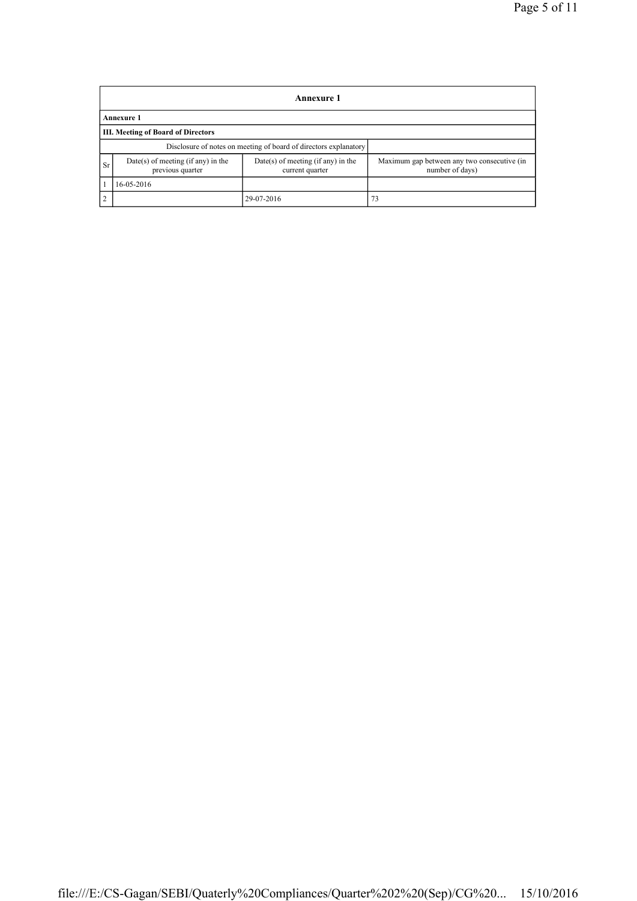|            | <b>Annexure 1</b>                                                |                                                       |                                                                |  |  |  |  |
|------------|------------------------------------------------------------------|-------------------------------------------------------|----------------------------------------------------------------|--|--|--|--|
|            | <b>Annexure 1</b>                                                |                                                       |                                                                |  |  |  |  |
|            | <b>III. Meeting of Board of Directors</b>                        |                                                       |                                                                |  |  |  |  |
|            | Disclosure of notes on meeting of board of directors explanatory |                                                       |                                                                |  |  |  |  |
| <b>Sr</b>  | Date(s) of meeting (if any) in the<br>previous quarter           | Date(s) of meeting (if any) in the<br>current quarter | Maximum gap between any two consecutive (in<br>number of days) |  |  |  |  |
|            | 16-05-2016                                                       |                                                       |                                                                |  |  |  |  |
| $\sqrt{2}$ |                                                                  | 29-07-2016                                            | 73                                                             |  |  |  |  |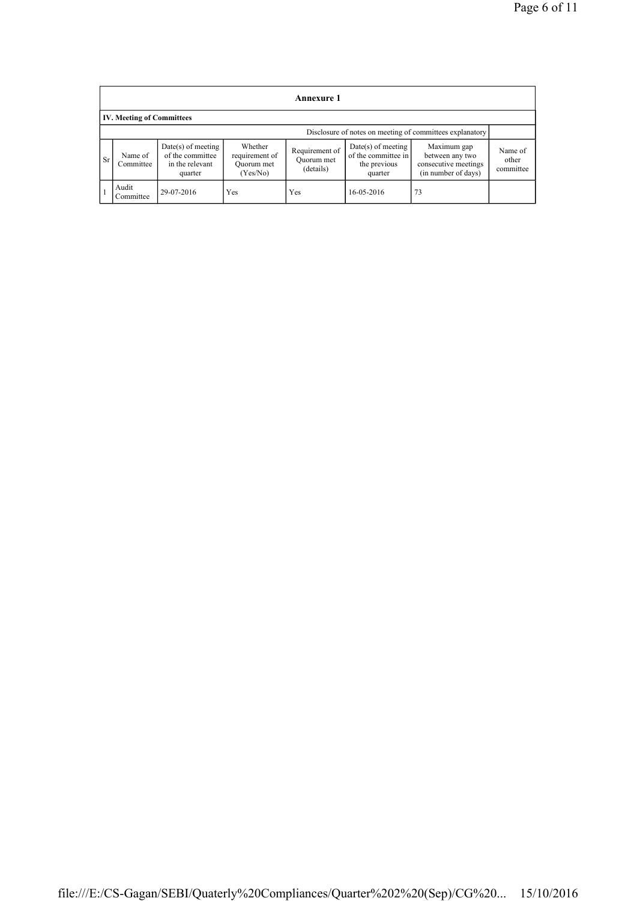|                                                          | <b>Annexure 1</b>                |                                                                        |                                                     |                                           |                                                                        |                                                                               |                               |  |  |
|----------------------------------------------------------|----------------------------------|------------------------------------------------------------------------|-----------------------------------------------------|-------------------------------------------|------------------------------------------------------------------------|-------------------------------------------------------------------------------|-------------------------------|--|--|
|                                                          | <b>IV. Meeting of Committees</b> |                                                                        |                                                     |                                           |                                                                        |                                                                               |                               |  |  |
| Disclosure of notes on meeting of committees explanatory |                                  |                                                                        |                                                     |                                           |                                                                        |                                                                               |                               |  |  |
| <b>Sr</b>                                                | Name of<br>Committee             | $Date(s)$ of meeting<br>of the committee<br>in the relevant<br>quarter | Whether<br>requirement of<br>Ouorum met<br>(Yes/No) | Requirement of<br>Quorum met<br>(details) | $Date(s)$ of meeting<br>of the committee in<br>the previous<br>quarter | Maximum gap<br>between any two<br>consecutive meetings<br>(in number of days) | Name of<br>other<br>committee |  |  |
|                                                          | Audit<br>Committee               | 29-07-2016                                                             | Yes                                                 | Yes                                       | 16-05-2016                                                             | 73                                                                            |                               |  |  |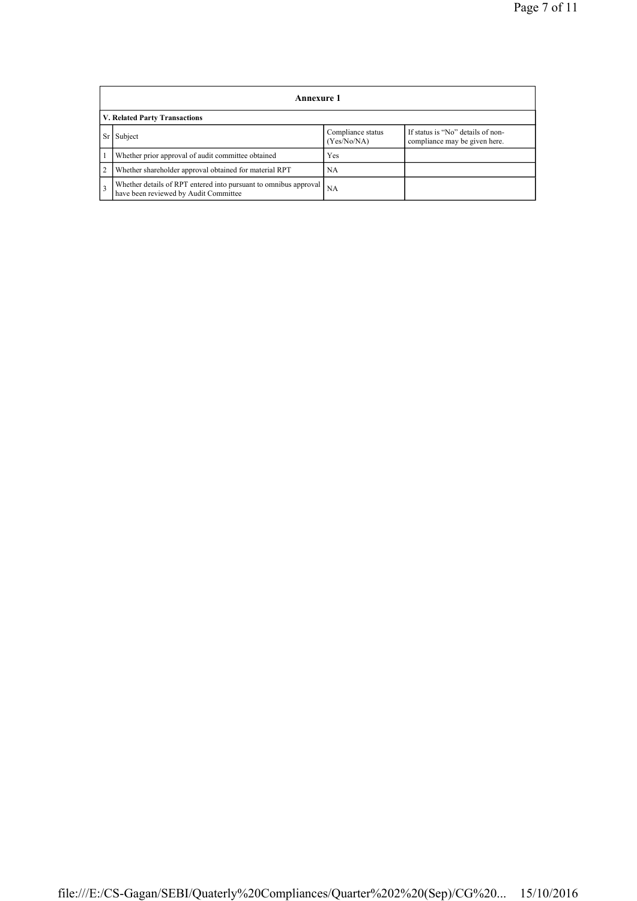|               | <b>Annexure 1</b>                                                                                         |                                  |                                                                    |  |  |  |  |
|---------------|-----------------------------------------------------------------------------------------------------------|----------------------------------|--------------------------------------------------------------------|--|--|--|--|
|               | V. Related Party Transactions                                                                             |                                  |                                                                    |  |  |  |  |
|               | Subject                                                                                                   | Compliance status<br>(Yes/No/NA) | If status is "No" details of non-<br>compliance may be given here. |  |  |  |  |
|               | Whether prior approval of audit committee obtained                                                        | Yes                              |                                                                    |  |  |  |  |
| 2             | Whether shareholder approval obtained for material RPT                                                    | NA                               |                                                                    |  |  |  |  |
| $\mathcal{R}$ | Whether details of RPT entered into pursuant to omnibus approval<br>have been reviewed by Audit Committee | NA                               |                                                                    |  |  |  |  |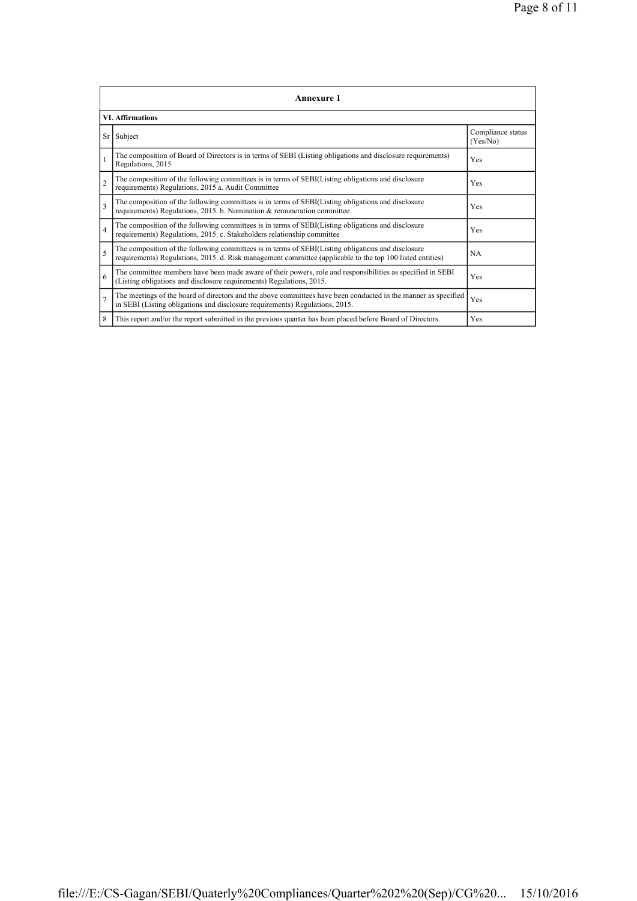|                | <b>Annexure 1</b>                                                                                                                                                                                               |                               |  |  |  |  |
|----------------|-----------------------------------------------------------------------------------------------------------------------------------------------------------------------------------------------------------------|-------------------------------|--|--|--|--|
|                | <b>VI.</b> Affirmations                                                                                                                                                                                         |                               |  |  |  |  |
| Sr             | Subject                                                                                                                                                                                                         | Compliance status<br>(Yes/No) |  |  |  |  |
|                | The composition of Board of Directors is in terms of SEBI (Listing obligations and disclosure requirements)<br>Regulations, 2015                                                                                | Yes                           |  |  |  |  |
| $\overline{2}$ | The composition of the following committees is in terms of SEBI(Listing obligations and disclosure<br>requirements) Regulations, 2015 a. Audit Committee                                                        | Yes                           |  |  |  |  |
| 3              | The composition of the following committees is in terms of SEBI(Listing obligations and disclosure<br>requirements) Regulations, 2015. b. Nomination & remuneration committee                                   | Yes                           |  |  |  |  |
| $\overline{4}$ | The composition of the following committees is in terms of SEBI(Listing obligations and disclosure<br>requirements) Regulations, 2015. c. Stakeholders relationship committee                                   | Yes                           |  |  |  |  |
| 5              | The composition of the following committees is in terms of SEBI(Listing obligations and disclosure<br>requirements) Regulations, 2015. d. Risk management committee (applicable to the top 100 listed entities) | <b>NA</b>                     |  |  |  |  |
| 6              | The committee members have been made aware of their powers, role and responsibilities as specified in SEBI<br>(Listing obligations and disclosure requirements) Regulations, 2015.                              | Yes                           |  |  |  |  |
| $\overline{7}$ | The meetings of the board of directors and the above committees have been conducted in the manner as specified<br>in SEBI (Listing obligations and disclosure requirements) Regulations, 2015.                  | Yes                           |  |  |  |  |
| 8              | This report and/or the report submitted in the previous quarter has been placed before Board of Directors.                                                                                                      | Yes                           |  |  |  |  |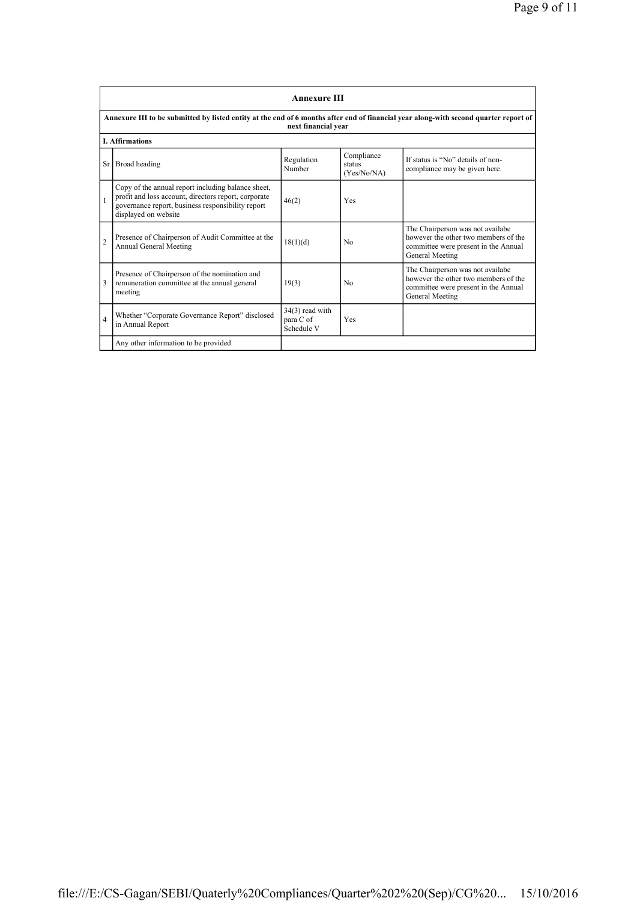|                | <b>Annexure III</b>                                                                                                                                                                     |                                              |                                     |                                                                                                                                     |  |  |
|----------------|-----------------------------------------------------------------------------------------------------------------------------------------------------------------------------------------|----------------------------------------------|-------------------------------------|-------------------------------------------------------------------------------------------------------------------------------------|--|--|
|                | Annexure III to be submitted by listed entity at the end of 6 months after end of financial year along-with second quarter report of<br>next financial year                             |                                              |                                     |                                                                                                                                     |  |  |
|                | <b>L. Affirmations</b>                                                                                                                                                                  |                                              |                                     |                                                                                                                                     |  |  |
|                | Sr Broad heading                                                                                                                                                                        | Regulation<br>Number                         | Compliance<br>status<br>(Yes/No/NA) | If status is "No" details of non-<br>compliance may be given here.                                                                  |  |  |
|                | Copy of the annual report including balance sheet,<br>profit and loss account, directors report, corporate<br>governance report, business responsibility report<br>displayed on website | 46(2)                                        | Yes                                 |                                                                                                                                     |  |  |
| $\overline{2}$ | Presence of Chairperson of Audit Committee at the<br>Annual General Meeting                                                                                                             | 18(1)(d)                                     | No                                  | The Chairperson was not availabe<br>however the other two members of the<br>committee were present in the Annual<br>General Meeting |  |  |
| 3              | Presence of Chairperson of the nomination and<br>remuneration committee at the annual general<br>meeting                                                                                | 19(3)                                        | N <sub>0</sub>                      | The Chairperson was not availabe<br>however the other two members of the<br>committee were present in the Annual<br>General Meeting |  |  |
| $\overline{4}$ | Whether "Corporate Governance Report" disclosed<br>in Annual Report                                                                                                                     | $34(3)$ read with<br>para C of<br>Schedule V | Yes                                 |                                                                                                                                     |  |  |
|                | Any other information to be provided                                                                                                                                                    |                                              |                                     |                                                                                                                                     |  |  |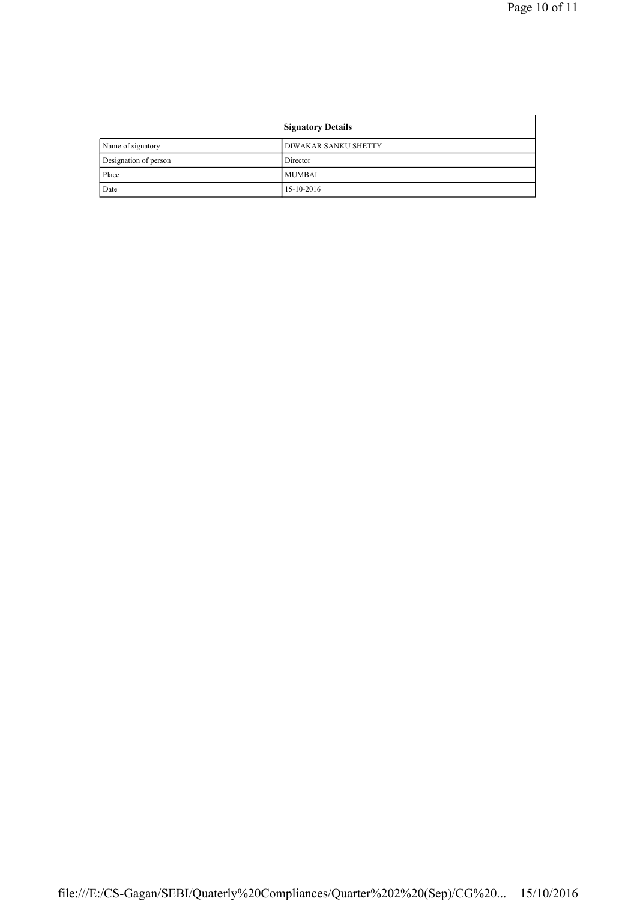|                       | <b>Signatory Details</b> |
|-----------------------|--------------------------|
| Name of signatory     | DIWAKAR SANKU SHETTY     |
| Designation of person | Director                 |
| Place                 | <b>MUMBAI</b>            |
| Date                  | 15-10-2016               |